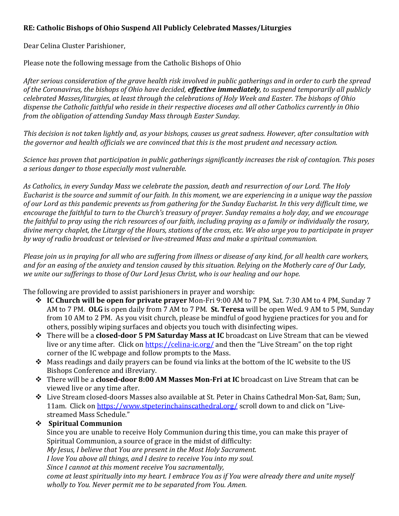## **RE: Catholic Bishops of Ohio Suspend All Publicly Celebrated Masses/Liturgies**

Dear Celina Cluster Parishioner,

Please note the following message from the Catholic Bishops of Ohio

*After serious consideration of the grave health risk involved in public gatherings and in order to curb the spread of the Coronavirus, the bishops of Ohio have decided, effective immediately, to suspend temporarily all publicly celebrated Masses/liturgies, at least through the celebrations of Holy Week and Easter. The bishops of Ohio dispense the Catholic faithful who reside in their respective dioceses and all other Catholics currently in Ohio from the obligation of attending Sunday Mass through Easter Sunday.*

*This decision is not taken lightly and, as your bishops, causes us great sadness. However, after consultation with the governor and health officials we are convinced that this is the most prudent and necessary action.*

*Science has proven that participation in public gatherings significantly increases the risk of contagion. This poses a serious danger to those especially most vulnerable.*

*As Catholics, in every Sunday Mass we celebrate the passion, death and resurrection of our Lord. The Holy Eucharist is the source and summit of our faith. In this moment, we are experiencing in a unique way the passion of our Lord as this pandemic prevents us from gathering for the Sunday Eucharist. In this very difficult time, we encourage the faithful to turn to the Church's treasury of prayer. Sunday remains a holy day, and we encourage the faithful to pray using the rich resources of our faith, including praying as a family or individually the rosary, divine mercy chaplet, the Liturgy of the Hours, stations of the cross, etc. We also urge you to participate in prayer by way of radio broadcast or televised or live-streamed Mass and make a spiritual communion.*

*Please join us in praying for all who are suffering from illness or disease of any kind, for all health care workers, and for an easing of the anxiety and tension caused by this situation. Relying on the Motherly care of Our Lady, we unite our sufferings to those of Our Lord Jesus Christ, who is our healing and our hope.*

The following are provided to assist parishioners in prayer and worship:

- **IC Church will be open for private prayer** Mon-Fri 9:00 AM to 7 PM, Sat. 7:30 AM to 4 PM, Sunday 7 AM to 7 PM. **OLG** is open daily from 7 AM to 7 PM. **St. Teresa** will be open Wed. 9 AM to 5 PM, Sunday from 10 AM to 2 PM. As you visit church, please be mindful of good hygiene practices for you and for others, possibly wiping surfaces and objects you touch with disinfecting wipes.
- There will be a **closed-door 5 PM Saturday Mass at IC** broadcast on Live Stream that can be viewed live or any time after. Click on<https://celina-ic.org/> and then the "Live Stream" on the top right corner of the IC webpage and follow prompts to the Mass.
- \* Mass readings and daily prayers can be found via links at the bottom of the IC website to the US Bishops Conference and iBreviary.
- There will be a **closed-door 8:00 AM Masses Mon-Fri at IC** broadcast on Live Stream that can be viewed live or any time after.
- Live Stream closed-doors Masses also available at St. Peter in Chains Cathedral Mon-Sat, 8am; Sun, 11am. Click on<https://www.stpeterinchainscathedral.org/> scroll down to and click on "Livestreamed Mass Schedule."

## **Spiritual Communion**

Since you are unable to receive Holy Communion during this time, you can make this prayer of Spiritual Communion, a source of grace in the midst of difficulty:

*My Jesus, I believe that You are present in the Most Holy Sacrament.* 

*I love You above all things, and I desire to receive You into my soul.* 

*Since I cannot at this moment receive You sacramentally,* 

*come at least spiritually into my heart. I embrace You as if You were already there and unite myself wholly to You. Never permit me to be separated from You. Amen.*